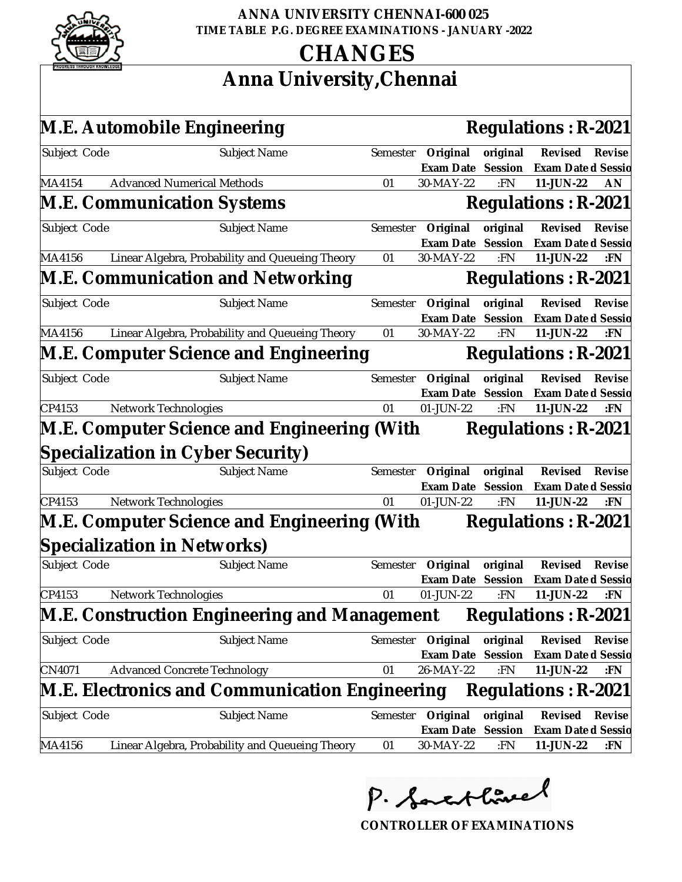

#### **ANNA UNIVERSITY CHENNAI-600 025 TIME TABLE P.G. DEGREE EXAMINATIONS - JANUARY -2022**

## **CHANGES**

## **Anna University,Chennai**

|              | M.E. Automobile Engineering                           |                   |                   | Regulations: R-2021 |        |
|--------------|-------------------------------------------------------|-------------------|-------------------|---------------------|--------|
| Subject Code | Subject Name<br>Semester                              | Original          | original          | Revised             | Revise |
|              |                                                       |                   | Exam Date Session | Exam Date d Sessic  |        |
| MA4154       | <b>Advanced Numerical Methods</b><br>01               | 30-MAY-22         | :FN               | 11-JUN-22           | AN     |
|              | M.E. Communication Systems                            |                   |                   | Regulations: R-2021 |        |
| Subject Code | Subject Name<br>Semester                              | Original          | original          | Revised             | Revise |
|              |                                                       | Exam Date         | Session           | Exam Date d Sessio  |        |
| MA4156       | Linear Algebra, Probability and Queueing Theory<br>01 | 30-MAY-22         | :FN               | 11-JUN-22           | :FN    |
|              | M.E. Communication and Networking                     |                   |                   | Regulations: R-2021 |        |
| Subject Code | Semester<br>Subject Name                              | Original          | original          | Revised             | Revise |
|              |                                                       | Exam Date         | Session           | Exam Date d Sessic  |        |
| MA4156       | Linear Algebra, Probability and Queueing Theory<br>01 | 30-MAY-22         | :FN               | 11-JUN-22           | : $FN$ |
|              | M.E. Computer Science and Engineering                 |                   |                   | Regulations: R-2021 |        |
| Subject Code | Subject Name                                          | Semester Original | original          | Revised             | Revise |
|              |                                                       | Exam Date         | Session           | Exam Date d Sessio  |        |
| CP4153       | Network Technologies<br>01                            | 01-JUN-22         | :FN               | 11-JUN-22           | :FN    |
|              | M.E. Computer Science and Engineering (With           |                   |                   | Regulations: R-2021 |        |
|              | Specialization in Cyber Security)                     |                   |                   |                     |        |
| Subject Code | Subject Name<br>Semester                              | Original          | original          | Revised             | Revise |
|              |                                                       | Exam Date         | Session           | Exam Date d Sessio  |        |
| CP4153       | Network Technologies<br>01                            | 01-JUN-22         | :FN               | 11-JUN-22           | :FN    |
|              | M.E. Computer Science and Engineering (With           |                   |                   | Regulations: R-2021 |        |
|              | Specialization in Networks)                           |                   |                   |                     |        |
| Subject Code | Subject Name<br>Semester                              | Original          | original          | Revised             | Revise |
|              |                                                       | Exam Date         | Session           | Exam Date d Sessio  |        |
| CP4153       | Network Technologies<br>01                            | 01-JUN-22         | :FN               | 11-JUN-22           | :FN    |
|              | M.E. Construction Engineering and Management          |                   |                   | Regulations: R-2021 |        |
| Subject Code | Subject Name<br>Semester                              | Original          | original          | Revised             | Revise |
|              |                                                       | Exam Date         | Session           | Exam Date d Sessio  |        |
| CN4071       | <b>Advanced Concrete Technology</b><br>01             | 26-MAY-22         | :FN               | 11-JUN-22           | :FN    |
|              | M.E. Electronics and Communication Engineering        |                   |                   | Regulations: R-2021 |        |
| Subject Code | Subject Name<br>Semester                              | Original          | original          | Revised             | Revise |
|              |                                                       | Exam Date         | Session           | Exam Date d Sessid  |        |
| MA4156       | Linear Algebra, Probability and Queueing Theory<br>01 | 30-MAY-22         | : $FN$            | 11-JUN-22           | :FN    |

P. Sactlinel

**CONTROLLER OF EXAMINATIONS**